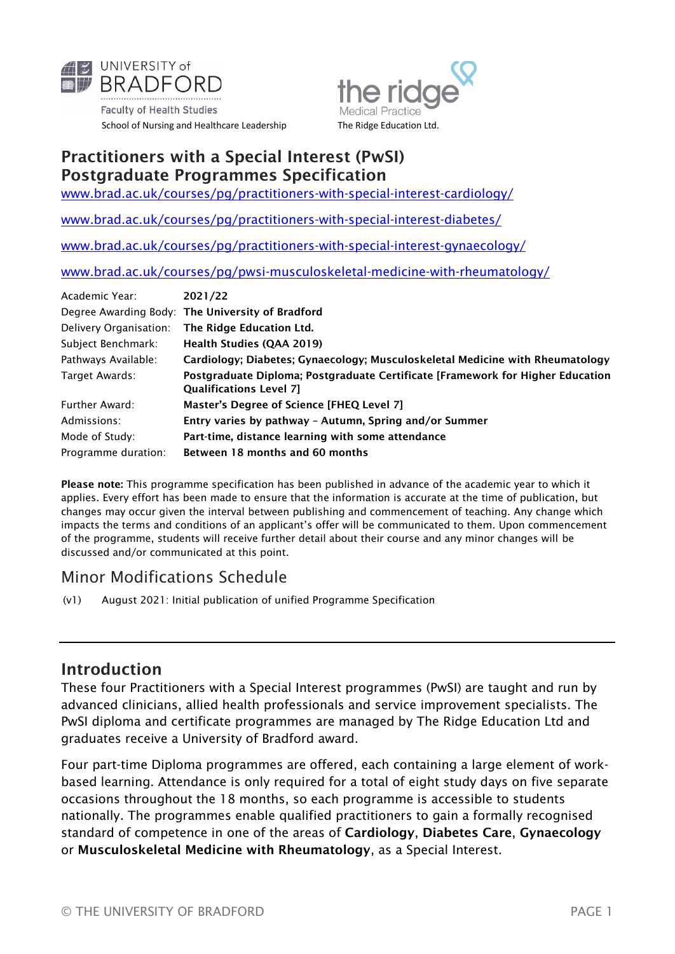

**Faculty of Health Studies** School of Nursing and Healthcare Leadership The Ridge Education Ltd.



#### Practitioners with a Special Interest (PwSI) Postgraduate Programmes Specification

[www.brad.ac.uk/courses/pg/practitioners-with-special-interest-cardiology/](http://www.brad.ac.uk/courses/pg/practitioners-with-special-interest-cardiology/)

[www.brad.ac.uk/courses/pg/practitioners-with-special-interest-diabetes/](http://www.brad.ac.uk/courses/pg/practitioners-with-special-interest-diabetes/)

[www.brad.ac.uk/courses/pg/practitioners-with-special-interest-gynaecology/](http://www.brad.ac.uk/courses/pg/practitioners-with-special-interest-gynaecology/)

[www.brad.ac.uk/courses/pg/pwsi-musculoskeletal-medicine-with-rheumatology/](https://www.brad.ac.uk/courses/pg/pwsi-musculoskeletal-medicine-with-rheumatology/)

| Academic Year:         | 2021/22                                                                                                          |
|------------------------|------------------------------------------------------------------------------------------------------------------|
|                        | Degree Awarding Body: The University of Bradford                                                                 |
| Delivery Organisation: | The Ridge Education Ltd.                                                                                         |
| Subject Benchmark:     | <b>Health Studies (QAA 2019)</b>                                                                                 |
| Pathways Available:    | Cardiology; Diabetes; Gynaecology; Musculoskeletal Medicine with Rheumatology                                    |
| Target Awards:         | Postgraduate Diploma; Postgraduate Certificate [Framework for Higher Education<br><b>Qualifications Level 71</b> |
| <b>Further Award:</b>  | Master's Degree of Science [FHEQ Level 7]                                                                        |
| Admissions:            | Entry varies by pathway - Autumn, Spring and/or Summer                                                           |
| Mode of Study:         | Part-time, distance learning with some attendance                                                                |
| Programme duration:    | Between 18 months and 60 months                                                                                  |

Please note: This programme specification has been published in advance of the academic year to which it applies. Every effort has been made to ensure that the information is accurate at the time of publication, but changes may occur given the interval between publishing and commencement of teaching. Any change which impacts the terms and conditions of an applicant's offer will be communicated to them. Upon commencement of the programme, students will receive further detail about their course and any minor changes will be discussed and/or communicated at this point.

### Minor Modifications Schedule

(v1) August 2021: Initial publication of unified Programme Specification

#### Introduction

These four Practitioners with a Special Interest programmes (PwSI) are taught and run by advanced clinicians, allied health professionals and service improvement specialists. The PwSI diploma and certificate programmes are managed by The Ridge Education Ltd and graduates receive a University of Bradford award.

Four part-time Diploma programmes are offered, each containing a large element of workbased learning. Attendance is only required for a total of eight study days on five separate occasions throughout the 18 months, so each programme is accessible to students nationally. The programmes enable qualified practitioners to gain a formally recognised standard of competence in one of the areas of Cardiology, Diabetes Care, Gynaecology or Musculoskeletal Medicine with Rheumatology, as a Special Interest.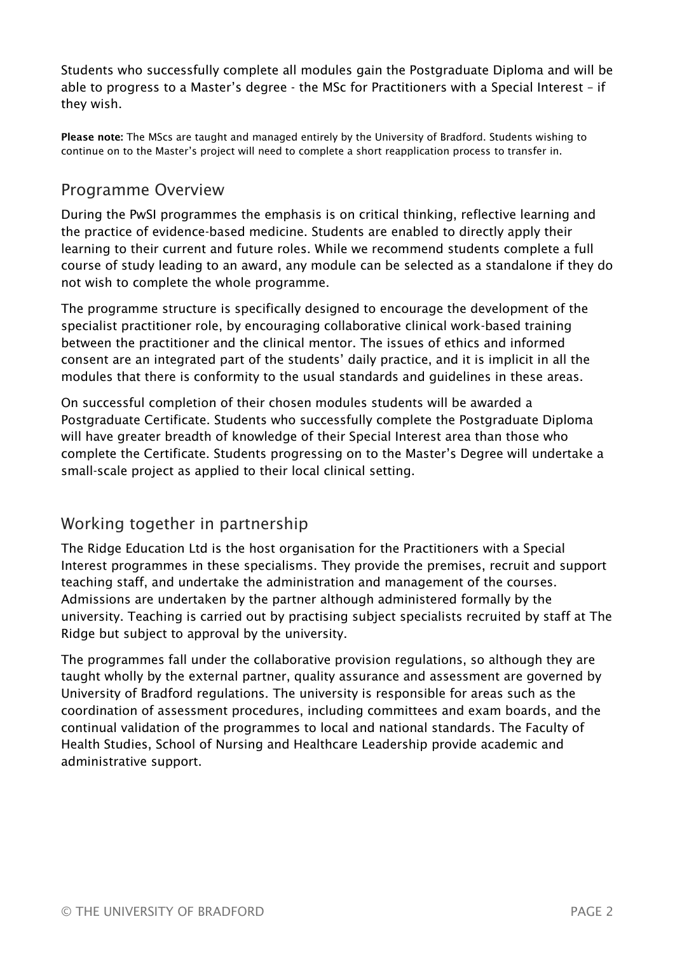Students who successfully complete all modules gain the Postgraduate Diploma and will be able to progress to a Master's degree - the MSc for Practitioners with a Special Interest – if they wish.

Please note: The MScs are taught and managed entirely by the University of Bradford. Students wishing to continue on to the Master's project will need to complete a short reapplication process to transfer in.

## Programme Overview

During the PwSI programmes the emphasis is on critical thinking, reflective learning and the practice of evidence-based medicine. Students are enabled to directly apply their learning to their current and future roles. While we recommend students complete a full course of study leading to an award, any module can be selected as a standalone if they do not wish to complete the whole programme.

The programme structure is specifically designed to encourage the development of the specialist practitioner role, by encouraging collaborative clinical work-based training between the practitioner and the clinical mentor. The issues of ethics and informed consent are an integrated part of the students' daily practice, and it is implicit in all the modules that there is conformity to the usual standards and guidelines in these areas.

On successful completion of their chosen modules students will be awarded a Postgraduate Certificate. Students who successfully complete the Postgraduate Diploma will have greater breadth of knowledge of their Special Interest area than those who complete the Certificate. Students progressing on to the Master's Degree will undertake a small-scale project as applied to their local clinical setting.

## Working together in partnership

The Ridge Education Ltd is the host organisation for the Practitioners with a Special Interest programmes in these specialisms. They provide the premises, recruit and support teaching staff, and undertake the administration and management of the courses. Admissions are undertaken by the partner although administered formally by the university. Teaching is carried out by practising subject specialists recruited by staff at The Ridge but subject to approval by the university.

The programmes fall under the collaborative provision regulations, so although they are taught wholly by the external partner, quality assurance and assessment are governed by University of Bradford regulations. The university is responsible for areas such as the coordination of assessment procedures, including committees and exam boards, and the continual validation of the programmes to local and national standards. The Faculty of Health Studies, School of Nursing and Healthcare Leadership provide academic and administrative support.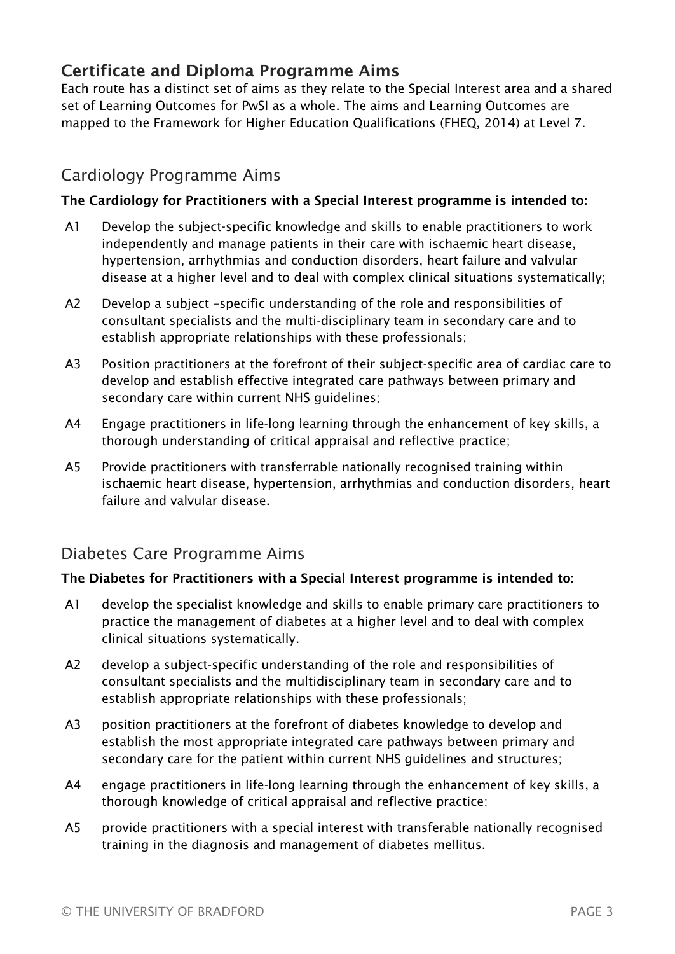# Certificate and Diploma Programme Aims

Each route has a distinct set of aims as they relate to the Special Interest area and a shared set of Learning Outcomes for PwSI as a whole. The aims and Learning Outcomes are mapped to the Framework for Higher Education Qualifications (FHEQ, 2014) at Level 7.

### Cardiology Programme Aims

#### The Cardiology for Practitioners with a Special Interest programme is intended to:

- A1 Develop the subject-specific knowledge and skills to enable practitioners to work independently and manage patients in their care with ischaemic heart disease, hypertension, arrhythmias and conduction disorders, heart failure and valvular disease at a higher level and to deal with complex clinical situations systematically;
- A2 Develop a subject –specific understanding of the role and responsibilities of consultant specialists and the multi-disciplinary team in secondary care and to establish appropriate relationships with these professionals;
- A3 Position practitioners at the forefront of their subject-specific area of cardiac care to develop and establish effective integrated care pathways between primary and secondary care within current NHS guidelines;
- A4 Engage practitioners in life-long learning through the enhancement of key skills, a thorough understanding of critical appraisal and reflective practice;
- A5 Provide practitioners with transferrable nationally recognised training within ischaemic heart disease, hypertension, arrhythmias and conduction disorders, heart failure and valvular disease.

#### Diabetes Care Programme Aims

#### The Diabetes for Practitioners with a Special Interest programme is intended to:

- A1 develop the specialist knowledge and skills to enable primary care practitioners to practice the management of diabetes at a higher level and to deal with complex clinical situations systematically.
- A2 develop a subject-specific understanding of the role and responsibilities of consultant specialists and the multidisciplinary team in secondary care and to establish appropriate relationships with these professionals;
- A3 position practitioners at the forefront of diabetes knowledge to develop and establish the most appropriate integrated care pathways between primary and secondary care for the patient within current NHS guidelines and structures;
- A4 engage practitioners in life-long learning through the enhancement of key skills, a thorough knowledge of critical appraisal and reflective practice:
- A5 provide practitioners with a special interest with transferable nationally recognised training in the diagnosis and management of diabetes mellitus.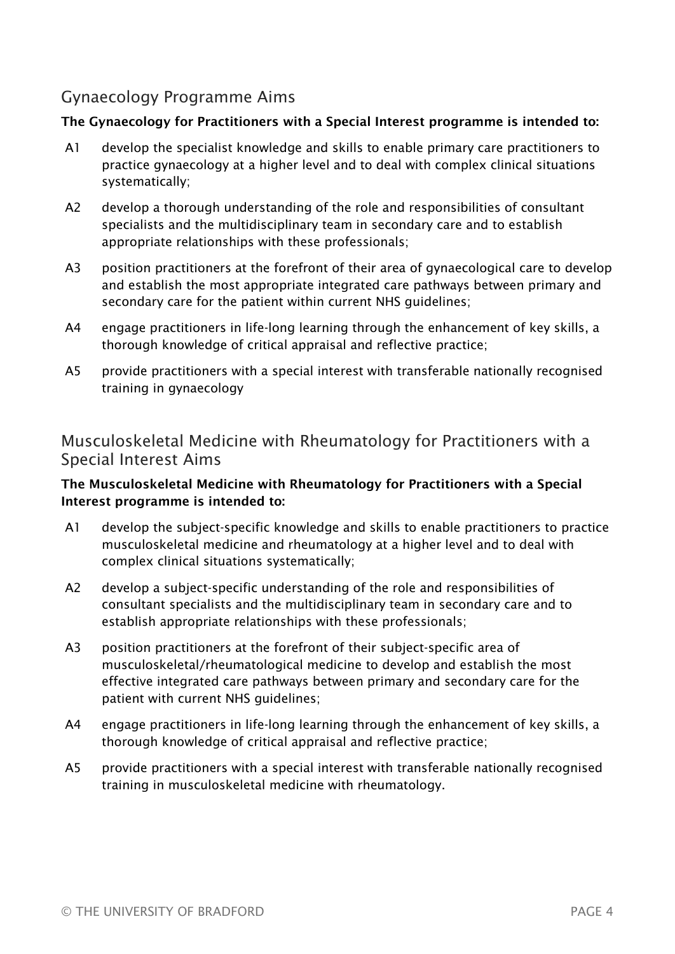# Gynaecology Programme Aims

#### The Gynaecology for Practitioners with a Special Interest programme is intended to:

- A1 develop the specialist knowledge and skills to enable primary care practitioners to practice gynaecology at a higher level and to deal with complex clinical situations systematically;
- A2 develop a thorough understanding of the role and responsibilities of consultant specialists and the multidisciplinary team in secondary care and to establish appropriate relationships with these professionals;
- A3 position practitioners at the forefront of their area of gynaecological care to develop and establish the most appropriate integrated care pathways between primary and secondary care for the patient within current NHS guidelines;
- A4 engage practitioners in life-long learning through the enhancement of key skills, a thorough knowledge of critical appraisal and reflective practice;
- A5 provide practitioners with a special interest with transferable nationally recognised training in gynaecology

### Musculoskeletal Medicine with Rheumatology for Practitioners with a Special Interest Aims

#### The Musculoskeletal Medicine with Rheumatology for Practitioners with a Special Interest programme is intended to:

- A1 develop the subject-specific knowledge and skills to enable practitioners to practice musculoskeletal medicine and rheumatology at a higher level and to deal with complex clinical situations systematically;
- A2 develop a subject-specific understanding of the role and responsibilities of consultant specialists and the multidisciplinary team in secondary care and to establish appropriate relationships with these professionals;
- A3 position practitioners at the forefront of their subject-specific area of musculoskeletal/rheumatological medicine to develop and establish the most effective integrated care pathways between primary and secondary care for the patient with current NHS guidelines;
- A4 engage practitioners in life-long learning through the enhancement of key skills, a thorough knowledge of critical appraisal and reflective practice;
- A5 provide practitioners with a special interest with transferable nationally recognised training in musculoskeletal medicine with rheumatology.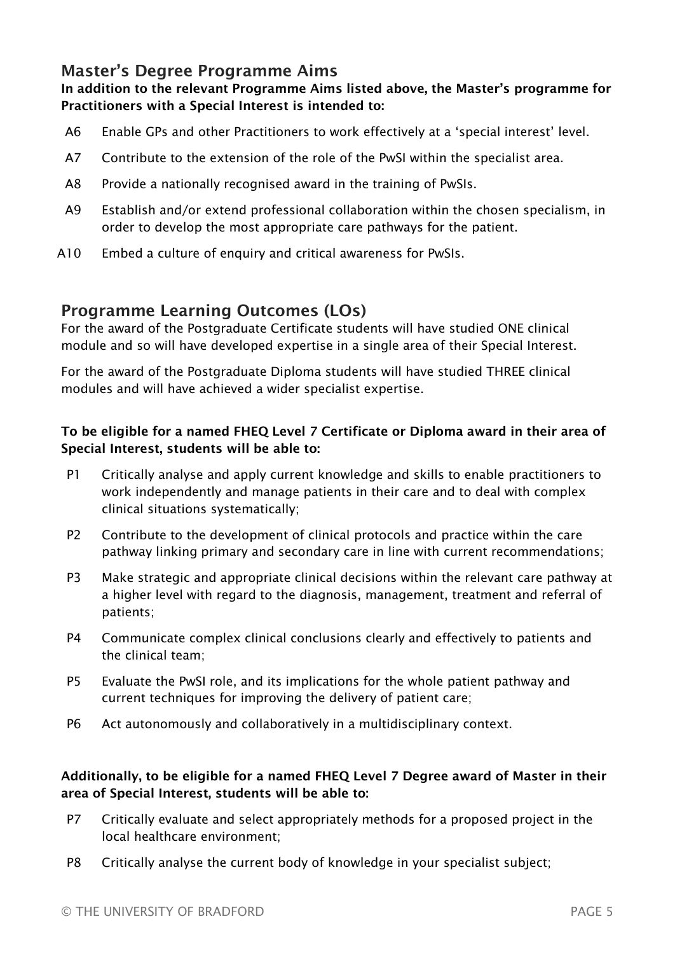## Master's Degree Programme Aims

#### In addition to the relevant Programme Aims listed above, the Master's programme for Practitioners with a Special Interest is intended to:

- A6 Enable GPs and other Practitioners to work effectively at a 'special interest' level.
- A7 Contribute to the extension of the role of the PwSI within the specialist area.
- A8 Provide a nationally recognised award in the training of PwSIs.
- A9 Establish and/or extend professional collaboration within the chosen specialism, in order to develop the most appropriate care pathways for the patient.
- A10 Embed a culture of enquiry and critical awareness for PwSIs.

### Programme Learning Outcomes (LOs)

For the award of the Postgraduate Certificate students will have studied ONE clinical module and so will have developed expertise in a single area of their Special Interest.

For the award of the Postgraduate Diploma students will have studied THREE clinical modules and will have achieved a wider specialist expertise.

#### To be eligible for a named FHEQ Level 7 Certificate or Diploma award in their area of Special Interest, students will be able to:

- P1 Critically analyse and apply current knowledge and skills to enable practitioners to work independently and manage patients in their care and to deal with complex clinical situations systematically;
- P2 Contribute to the development of clinical protocols and practice within the care pathway linking primary and secondary care in line with current recommendations;
- P3 Make strategic and appropriate clinical decisions within the relevant care pathway at a higher level with regard to the diagnosis, management, treatment and referral of patients;
- P4 Communicate complex clinical conclusions clearly and effectively to patients and the clinical team;
- P5 Evaluate the PwSI role, and its implications for the whole patient pathway and current techniques for improving the delivery of patient care;
- P6 Act autonomously and collaboratively in a multidisciplinary context.

#### Additionally, to be eligible for a named FHEQ Level 7 Degree award of Master in their area of Special Interest, students will be able to:

- P7 Critically evaluate and select appropriately methods for a proposed project in the local healthcare environment;
- P8 Critically analyse the current body of knowledge in your specialist subject;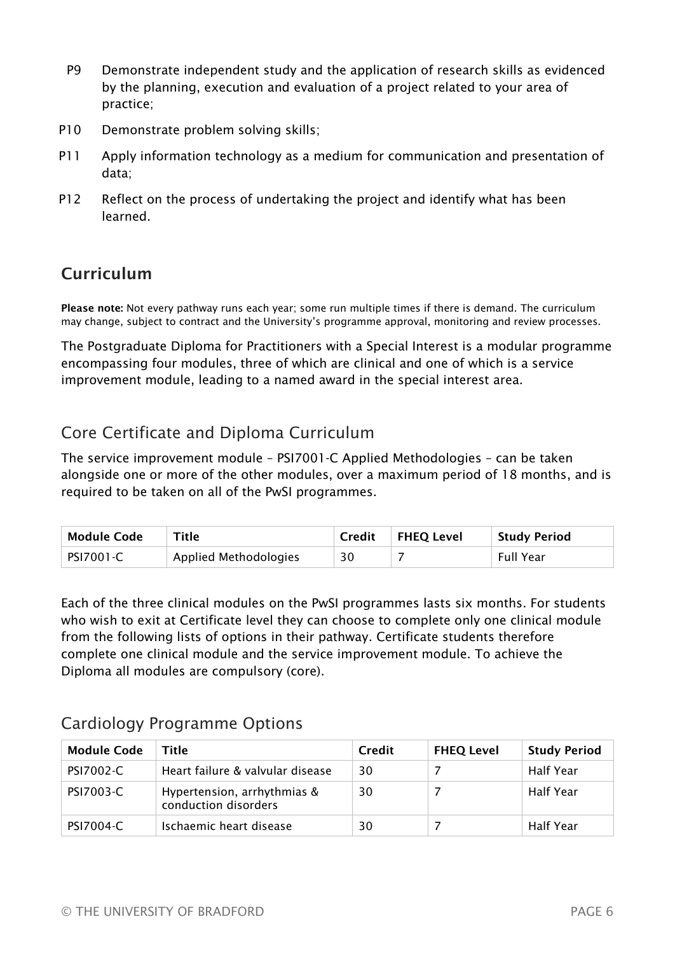- P9 Demonstrate independent study and the application of research skills as evidenced by the planning, execution and evaluation of a project related to your area of practice;
- P10 Demonstrate problem solving skills;
- P11 Apply information technology as a medium for communication and presentation of data;
- P12 Reflect on the process of undertaking the project and identify what has been learned.

# Curriculum

Please note: Not every pathway runs each year; some run multiple times if there is demand. The curriculum may change, subject to contract and the University's programme approval, monitoring and review processes.

The Postgraduate Diploma for Practitioners with a Special Interest is a modular programme encompassing four modules, three of which are clinical and one of which is a service improvement module, leading to a named award in the special interest area.

# Core Certificate and Diploma Curriculum

The service improvement module – PSI7001-C Applied Methodologies – can be taken alongside one or more of the other modules, over a maximum period of 18 months, and is required to be taken on all of the PwSI programmes.

| Module Code      | Title                 | Credit | FHEQ Level | <b>Study Period</b> |
|------------------|-----------------------|--------|------------|---------------------|
| <b>PSI7001-C</b> | Applied Methodologies | 30     |            | Full Year           |

Each of the three clinical modules on the PwSI programmes lasts six months. For students who wish to exit at Certificate level they can choose to complete only one clinical module from the following lists of options in their pathway. Certificate students therefore complete one clinical module and the service improvement module. To achieve the Diploma all modules are compulsory (core).

# Cardiology Programme Options

| <b>Module Code</b> | Title                                               | Credit | <b>FHEQ Level</b> | <b>Study Period</b> |
|--------------------|-----------------------------------------------------|--------|-------------------|---------------------|
| <b>PSI7002-C</b>   | Heart failure & valvular disease                    | 30     |                   | Half Year           |
| <b>PSI7003-C</b>   | Hypertension, arrhythmias &<br>conduction disorders | 30     |                   | Half Year           |
| <b>PSI7004-C</b>   | Ischaemic heart disease                             | 30     |                   | Half Year           |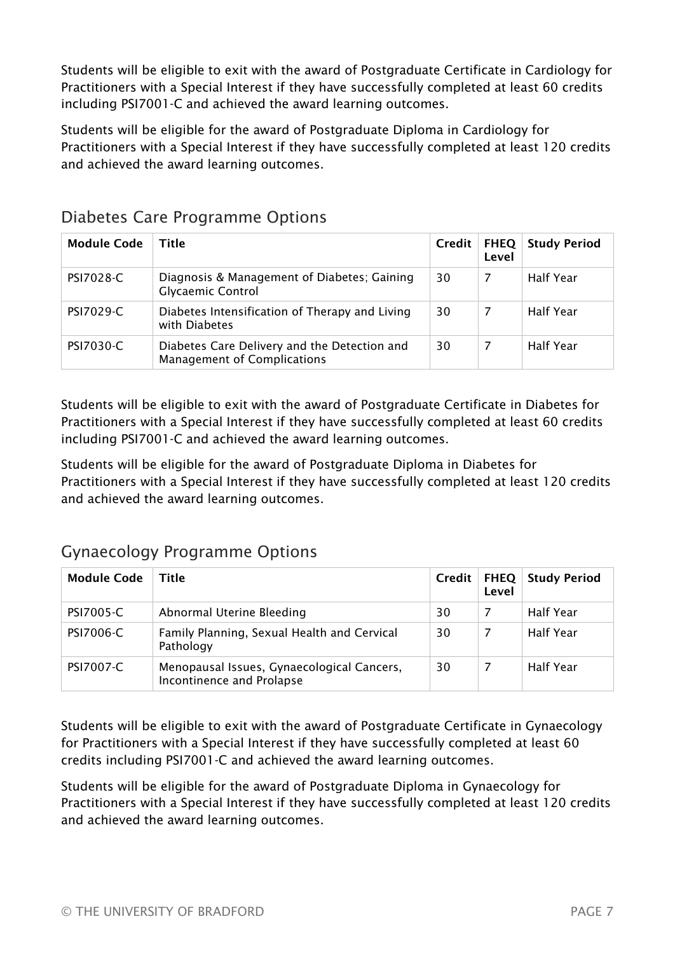Students will be eligible to exit with the award of Postgraduate Certificate in Cardiology for Practitioners with a Special Interest if they have successfully completed at least 60 credits including PSI7001-C and achieved the award learning outcomes.

Students will be eligible for the award of Postgraduate Diploma in Cardiology for Practitioners with a Special Interest if they have successfully completed at least 120 credits and achieved the award learning outcomes.

| <b>Module Code</b> | Title                                                                              | Credit | <b>FHEQ</b><br>Level | <b>Study Period</b> |
|--------------------|------------------------------------------------------------------------------------|--------|----------------------|---------------------|
| <b>PSI7028-C</b>   | Diagnosis & Management of Diabetes; Gaining<br><b>Glycaemic Control</b>            | 30     | -7                   | <b>Half Year</b>    |
| <b>PSI7029-C</b>   | Diabetes Intensification of Therapy and Living<br>with Diabetes                    | 30     | -7                   | Half Year           |
| PSI7030-C          | Diabetes Care Delivery and the Detection and<br><b>Management of Complications</b> | 30     | 7                    | <b>Half Year</b>    |

## Diabetes Care Programme Options

Students will be eligible to exit with the award of Postgraduate Certificate in Diabetes for Practitioners with a Special Interest if they have successfully completed at least 60 credits including PSI7001-C and achieved the award learning outcomes.

Students will be eligible for the award of Postgraduate Diploma in Diabetes for Practitioners with a Special Interest if they have successfully completed at least 120 credits and achieved the award learning outcomes.

# Gynaecology Programme Options

| <b>Module Code</b> | Title                                                                   | Credit | Level | <b>FHEQ Study Period</b> |
|--------------------|-------------------------------------------------------------------------|--------|-------|--------------------------|
| <b>PSI7005-C</b>   | Abnormal Uterine Bleeding                                               | 30     |       | Half Year                |
| <b>PSI7006-C</b>   | Family Planning, Sexual Health and Cervical<br>Pathology                | 30     |       | Half Year                |
| <b>PSI7007-C</b>   | Menopausal Issues, Gynaecological Cancers,<br>Incontinence and Prolapse | 30     |       | Half Year                |

Students will be eligible to exit with the award of Postgraduate Certificate in Gynaecology for Practitioners with a Special Interest if they have successfully completed at least 60 credits including PSI7001-C and achieved the award learning outcomes.

Students will be eligible for the award of Postgraduate Diploma in Gynaecology for Practitioners with a Special Interest if they have successfully completed at least 120 credits and achieved the award learning outcomes.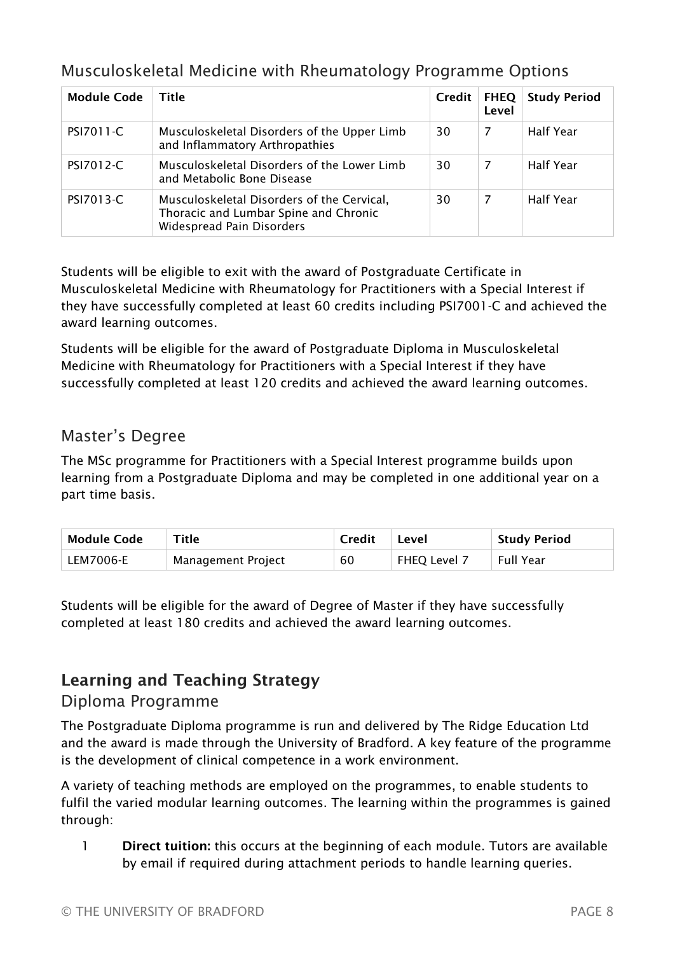## Musculoskeletal Medicine with Rheumatology Programme Options

| <b>Module Code</b> | Title                                                                                                            | Credit | <b>FHEQ</b><br>Level | <b>Study Period</b> |
|--------------------|------------------------------------------------------------------------------------------------------------------|--------|----------------------|---------------------|
| PSI7011-C          | Musculoskeletal Disorders of the Upper Limb<br>and Inflammatory Arthropathies                                    | 30     | -7                   | <b>Half Year</b>    |
| <b>PSI7012-C</b>   | Musculoskeletal Disorders of the Lower Limb<br>and Metabolic Bone Disease                                        | 30     | -7                   | <b>Half Year</b>    |
| <b>PSI7013-C</b>   | Musculoskeletal Disorders of the Cervical,<br>Thoracic and Lumbar Spine and Chronic<br>Widespread Pain Disorders | 30     | 7                    | <b>Half Year</b>    |

Students will be eligible to exit with the award of Postgraduate Certificate in Musculoskeletal Medicine with Rheumatology for Practitioners with a Special Interest if they have successfully completed at least 60 credits including PSI7001-C and achieved the award learning outcomes.

Students will be eligible for the award of Postgraduate Diploma in Musculoskeletal Medicine with Rheumatology for Practitioners with a Special Interest if they have successfully completed at least 120 credits and achieved the award learning outcomes.

## Master's Degree

The MSc programme for Practitioners with a Special Interest programme builds upon learning from a Postgraduate Diploma and may be completed in one additional year on a part time basis.

| Module Code | Title              | <b>Credit</b> | Level               | <b>Study Period</b> |
|-------------|--------------------|---------------|---------------------|---------------------|
| LEM7006-E   | Management Project | 60            | <b>FHEO Level 7</b> | Full Year           |

Students will be eligible for the award of Degree of Master if they have successfully completed at least 180 credits and achieved the award learning outcomes.

# Learning and Teaching Strategy

### Diploma Programme

The Postgraduate Diploma programme is run and delivered by The Ridge Education Ltd and the award is made through the University of Bradford. A key feature of the programme is the development of clinical competence in a work environment.

A variety of teaching methods are employed on the programmes, to enable students to fulfil the varied modular learning outcomes. The learning within the programmes is gained through:

1 Direct tuition: this occurs at the beginning of each module. Tutors are available by email if required during attachment periods to handle learning queries.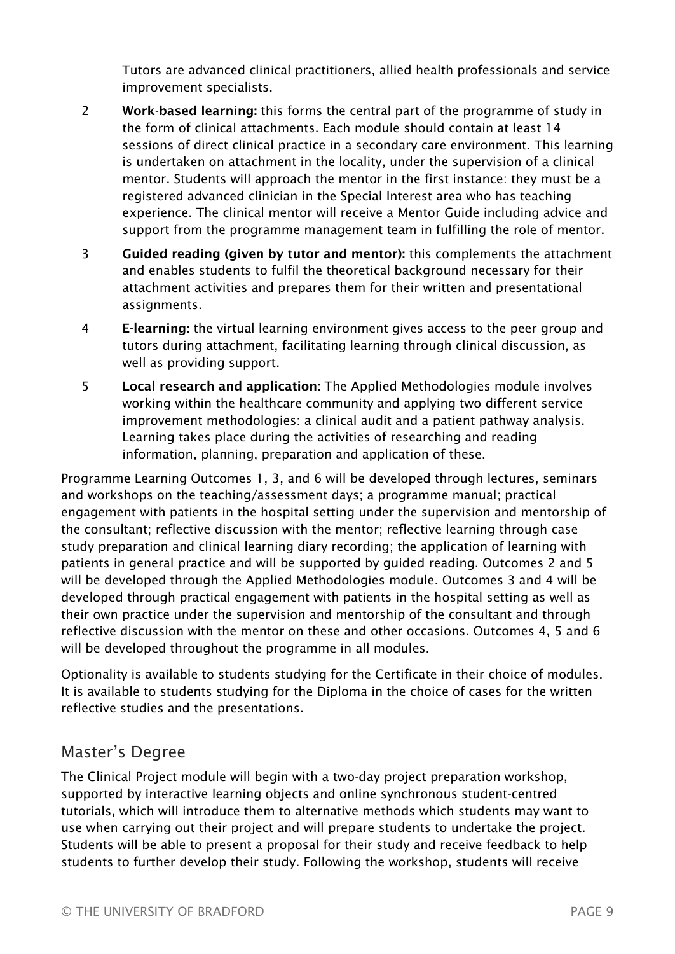Tutors are advanced clinical practitioners, allied health professionals and service improvement specialists.

- 2 Work-based learning: this forms the central part of the programme of study in the form of clinical attachments. Each module should contain at least 14 sessions of direct clinical practice in a secondary care environment. This learning is undertaken on attachment in the locality, under the supervision of a clinical mentor. Students will approach the mentor in the first instance: they must be a registered advanced clinician in the Special Interest area who has teaching experience. The clinical mentor will receive a Mentor Guide including advice and support from the programme management team in fulfilling the role of mentor.
- 3 Guided reading (given by tutor and mentor): this complements the attachment and enables students to fulfil the theoretical background necessary for their attachment activities and prepares them for their written and presentational assignments.
- 4 E-learning: the virtual learning environment gives access to the peer group and tutors during attachment, facilitating learning through clinical discussion, as well as providing support.
- 5 Local research and application: The Applied Methodologies module involves working within the healthcare community and applying two different service improvement methodologies: a clinical audit and a patient pathway analysis. Learning takes place during the activities of researching and reading information, planning, preparation and application of these.

Programme Learning Outcomes 1, 3, and 6 will be developed through lectures, seminars and workshops on the teaching/assessment days; a programme manual; practical engagement with patients in the hospital setting under the supervision and mentorship of the consultant; reflective discussion with the mentor; reflective learning through case study preparation and clinical learning diary recording; the application of learning with patients in general practice and will be supported by guided reading. Outcomes 2 and 5 will be developed through the Applied Methodologies module. Outcomes 3 and 4 will be developed through practical engagement with patients in the hospital setting as well as their own practice under the supervision and mentorship of the consultant and through reflective discussion with the mentor on these and other occasions. Outcomes 4, 5 and 6 will be developed throughout the programme in all modules.

Optionality is available to students studying for the Certificate in their choice of modules. It is available to students studying for the Diploma in the choice of cases for the written reflective studies and the presentations.

### Master's Degree

The Clinical Project module will begin with a two-day project preparation workshop, supported by interactive learning objects and online synchronous student-centred tutorials, which will introduce them to alternative methods which students may want to use when carrying out their project and will prepare students to undertake the project. Students will be able to present a proposal for their study and receive feedback to help students to further develop their study. Following the workshop, students will receive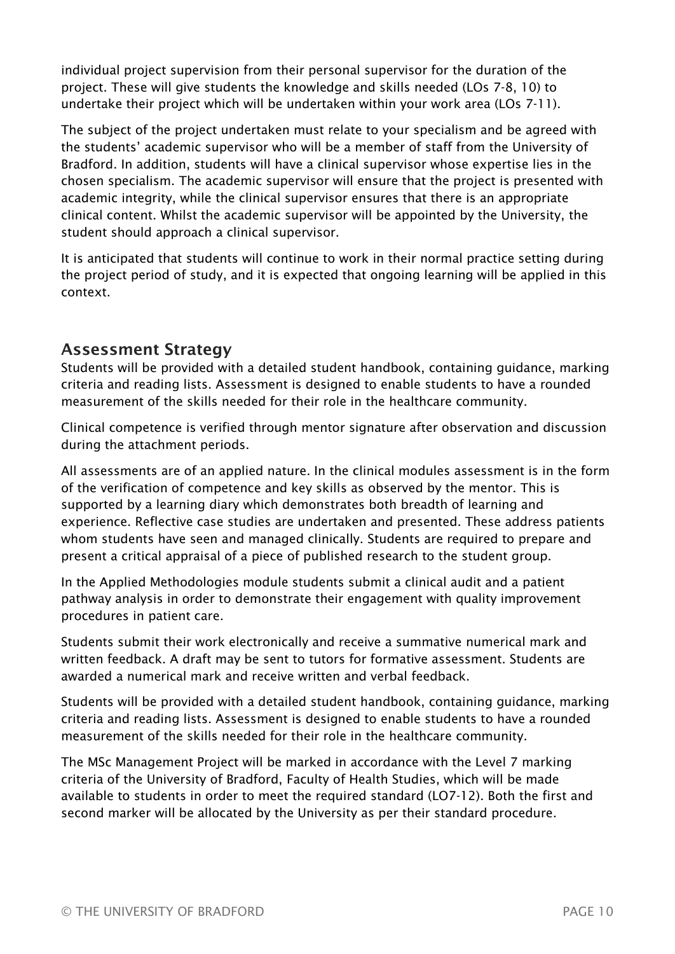individual project supervision from their personal supervisor for the duration of the project. These will give students the knowledge and skills needed (LOs 7-8, 10) to undertake their project which will be undertaken within your work area (LOs 7-11).

The subject of the project undertaken must relate to your specialism and be agreed with the students' academic supervisor who will be a member of staff from the University of Bradford. In addition, students will have a clinical supervisor whose expertise lies in the chosen specialism. The academic supervisor will ensure that the project is presented with academic integrity, while the clinical supervisor ensures that there is an appropriate clinical content. Whilst the academic supervisor will be appointed by the University, the student should approach a clinical supervisor.

It is anticipated that students will continue to work in their normal practice setting during the project period of study, and it is expected that ongoing learning will be applied in this context.

### Assessment Strategy

Students will be provided with a detailed student handbook, containing guidance, marking criteria and reading lists. Assessment is designed to enable students to have a rounded measurement of the skills needed for their role in the healthcare community.

Clinical competence is verified through mentor signature after observation and discussion during the attachment periods.

All assessments are of an applied nature. In the clinical modules assessment is in the form of the verification of competence and key skills as observed by the mentor. This is supported by a learning diary which demonstrates both breadth of learning and experience. Reflective case studies are undertaken and presented. These address patients whom students have seen and managed clinically. Students are required to prepare and present a critical appraisal of a piece of published research to the student group.

In the Applied Methodologies module students submit a clinical audit and a patient pathway analysis in order to demonstrate their engagement with quality improvement procedures in patient care.

Students submit their work electronically and receive a summative numerical mark and written feedback. A draft may be sent to tutors for formative assessment. Students are awarded a numerical mark and receive written and verbal feedback.

Students will be provided with a detailed student handbook, containing guidance, marking criteria and reading lists. Assessment is designed to enable students to have a rounded measurement of the skills needed for their role in the healthcare community.

The MSc Management Project will be marked in accordance with the Level 7 marking criteria of the University of Bradford, Faculty of Health Studies, which will be made available to students in order to meet the required standard (LO7-12). Both the first and second marker will be allocated by the University as per their standard procedure.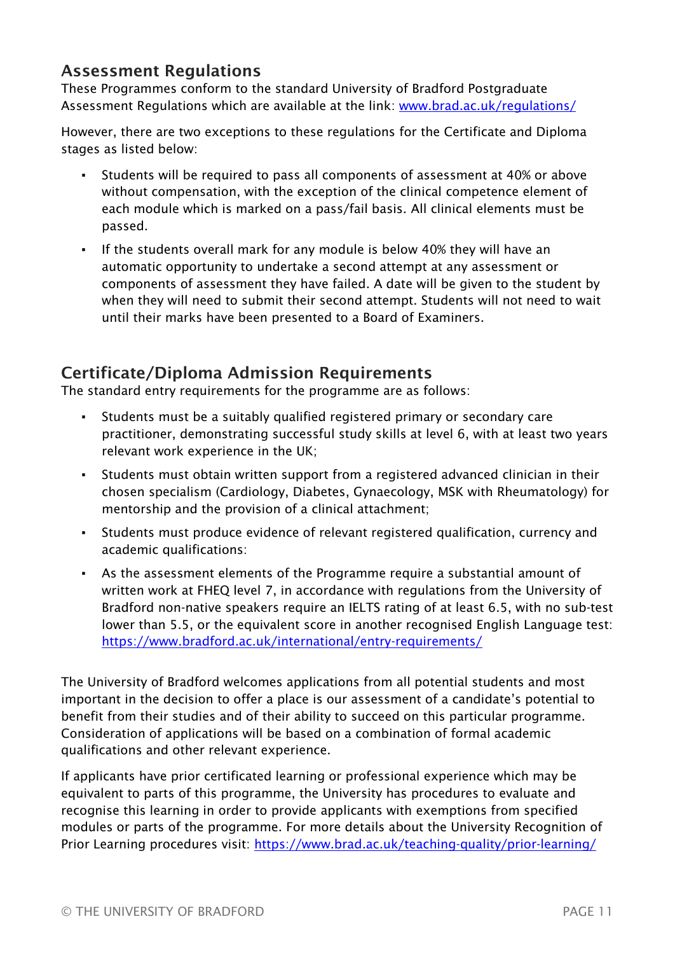## Assessment Regulations

These Programmes conform to the standard University of Bradford Postgraduate Assessment Regulations which are available at the link: [www.brad.ac.uk/regulations/](https://www.brad.ac.uk/regulations/)

However, there are two exceptions to these regulations for the Certificate and Diploma stages as listed below:

- Students will be required to pass all components of assessment at 40% or above without compensation, with the exception of the clinical competence element of each module which is marked on a pass/fail basis. All clinical elements must be passed.
- If the students overall mark for any module is below 40% they will have an automatic opportunity to undertake a second attempt at any assessment or components of assessment they have failed. A date will be given to the student by when they will need to submit their second attempt. Students will not need to wait until their marks have been presented to a Board of Examiners.

## Certificate/Diploma Admission Requirements

The standard entry requirements for the programme are as follows:

- Students must be a suitably qualified registered primary or secondary care practitioner, demonstrating successful study skills at level 6, with at least two years relevant work experience in the UK;
- Students must obtain written support from a registered advanced clinician in their chosen specialism (Cardiology, Diabetes, Gynaecology, MSK with Rheumatology) for mentorship and the provision of a clinical attachment;
- Students must produce evidence of relevant registered qualification, currency and academic qualifications:
- As the assessment elements of the Programme require a substantial amount of written work at FHEQ level 7, in accordance with regulations from the University of Bradford non-native speakers require an IELTS rating of at least 6.5, with no sub-test lower than 5.5, or the equivalent score in another recognised English Language test: <https://www.bradford.ac.uk/international/entry-requirements/>

The University of Bradford welcomes applications from all potential students and most important in the decision to offer a place is our assessment of a candidate's potential to benefit from their studies and of their ability to succeed on this particular programme. Consideration of applications will be based on a combination of formal academic qualifications and other relevant experience.

If applicants have prior certificated learning or professional experience which may be equivalent to parts of this programme, the University has procedures to evaluate and recognise this learning in order to provide applicants with exemptions from specified modules or parts of the programme. For more details about the University Recognition of Prior Learning procedures visit:<https://www.brad.ac.uk/teaching-quality/prior-learning/>